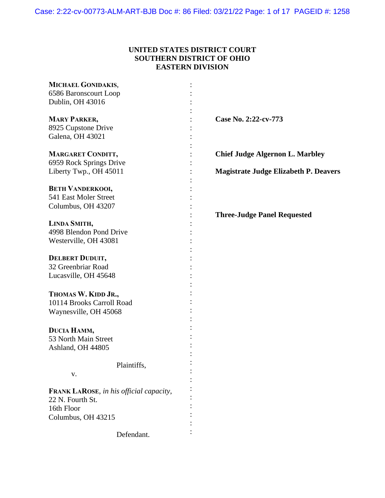# **UNITED STATES DISTRICT COURT SOUTHERN DISTRICT OF OHIO EASTERN DIVISION**

| MICHAEL GONIDAKIS,                      |                                              |
|-----------------------------------------|----------------------------------------------|
| 6586 Baronscourt Loop                   |                                              |
| Dublin, OH 43016                        |                                              |
|                                         |                                              |
| <b>MARY PARKER,</b>                     | Case No. 2:22-cv-773                         |
| 8925 Cupstone Drive                     |                                              |
| Galena, OH 43021                        |                                              |
|                                         |                                              |
| <b>MARGARET CONDITT,</b>                | <b>Chief Judge Algernon L. Marbley</b>       |
| 6959 Rock Springs Drive                 |                                              |
| Liberty Twp., OH 45011                  | <b>Magistrate Judge Elizabeth P. Deavers</b> |
|                                         |                                              |
| <b>BETH VANDERKOOI,</b>                 |                                              |
| 541 East Moler Street                   |                                              |
|                                         |                                              |
| Columbus, OH 43207                      |                                              |
|                                         | <b>Three-Judge Panel Requested</b>           |
| LINDA SMITH,                            |                                              |
| 4998 Blendon Pond Drive                 |                                              |
| Westerville, OH 43081                   |                                              |
|                                         |                                              |
| <b>DELBERT DUDUIT,</b>                  |                                              |
| 32 Greenbriar Road                      |                                              |
| Lucasville, OH 45648                    |                                              |
|                                         |                                              |
| THOMAS W. KIDD JR.,                     |                                              |
| 10114 Brooks Carroll Road               |                                              |
| Waynesville, OH 45068                   |                                              |
|                                         |                                              |
| DUCIA HAMM,                             |                                              |
| 53 North Main Street                    |                                              |
|                                         |                                              |
| Ashland, OH 44805                       |                                              |
|                                         |                                              |
| Plaintiffs,                             |                                              |
| V.                                      |                                              |
|                                         |                                              |
| FRANK LAROSE, in his official capacity, |                                              |
| 22 N. Fourth St.                        |                                              |
| 16th Floor                              |                                              |
| Columbus, OH 43215                      |                                              |
|                                         |                                              |
| Defendant.                              |                                              |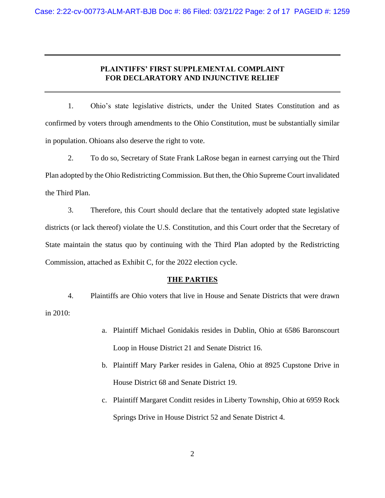## **PLAINTIFFS' FIRST SUPPLEMENTAL COMPLAINT FOR DECLARATORY AND INJUNCTIVE RELIEF**

1. Ohio's state legislative districts, under the United States Constitution and as confirmed by voters through amendments to the Ohio Constitution, must be substantially similar in population. Ohioans also deserve the right to vote.

2. To do so, Secretary of State Frank LaRose began in earnest carrying out the Third Plan adopted by the Ohio Redistricting Commission. But then, the Ohio Supreme Court invalidated the Third Plan.

3. Therefore, this Court should declare that the tentatively adopted state legislative districts (or lack thereof) violate the U.S. Constitution, and this Court order that the Secretary of State maintain the status quo by continuing with the Third Plan adopted by the Redistricting Commission, attached as Exhibit C, for the 2022 election cycle.

### **THE PARTIES**

4. Plaintiffs are Ohio voters that live in House and Senate Districts that were drawn in 2010:

- a. Plaintiff Michael Gonidakis resides in Dublin, Ohio at 6586 Baronscourt Loop in House District 21 and Senate District 16.
- b. Plaintiff Mary Parker resides in Galena, Ohio at 8925 Cupstone Drive in House District 68 and Senate District 19.
- c. Plaintiff Margaret Conditt resides in Liberty Township, Ohio at 6959 Rock Springs Drive in House District 52 and Senate District 4.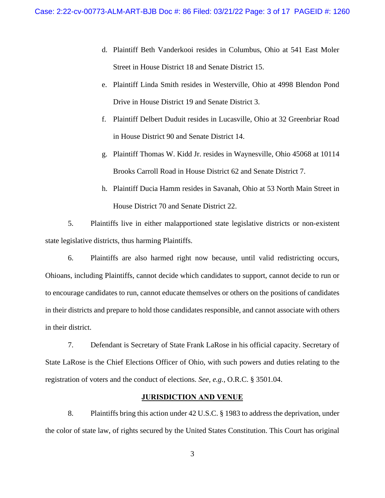- d. Plaintiff Beth Vanderkooi resides in Columbus, Ohio at 541 East Moler Street in House District 18 and Senate District 15.
- e. Plaintiff Linda Smith resides in Westerville, Ohio at 4998 Blendon Pond Drive in House District 19 and Senate District 3.
- f. Plaintiff Delbert Duduit resides in Lucasville, Ohio at 32 Greenbriar Road in House District 90 and Senate District 14.
- g. Plaintiff Thomas W. Kidd Jr. resides in Waynesville, Ohio 45068 at 10114 Brooks Carroll Road in House District 62 and Senate District 7.
- h. Plaintiff Ducia Hamm resides in Savanah, Ohio at 53 North Main Street in House District 70 and Senate District 22.

5. Plaintiffs live in either malapportioned state legislative districts or non-existent state legislative districts, thus harming Plaintiffs.

6. Plaintiffs are also harmed right now because, until valid redistricting occurs, Ohioans, including Plaintiffs, cannot decide which candidates to support, cannot decide to run or to encourage candidates to run, cannot educate themselves or others on the positions of candidates in their districts and prepare to hold those candidates responsible, and cannot associate with others in their district.

7. Defendant is Secretary of State Frank LaRose in his official capacity. Secretary of State LaRose is the Chief Elections Officer of Ohio, with such powers and duties relating to the registration of voters and the conduct of elections. *See, e.g.*, O.R.C. § 3501.04.

#### **JURISDICTION AND VENUE**

8. Plaintiffs bring this action under 42 U.S.C. § 1983 to address the deprivation, under the color of state law, of rights secured by the United States Constitution. This Court has original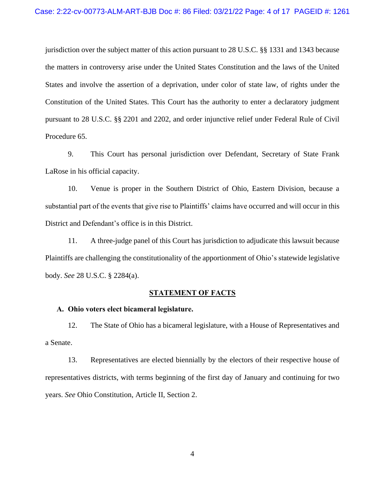jurisdiction over the subject matter of this action pursuant to 28 U.S.C. §§ 1331 and 1343 because the matters in controversy arise under the United States Constitution and the laws of the United States and involve the assertion of a deprivation, under color of state law, of rights under the Constitution of the United States. This Court has the authority to enter a declaratory judgment pursuant to 28 U.S.C. §§ 2201 and 2202, and order injunctive relief under Federal Rule of Civil Procedure 65.

9. This Court has personal jurisdiction over Defendant, Secretary of State Frank LaRose in his official capacity.

10. Venue is proper in the Southern District of Ohio, Eastern Division, because a substantial part of the events that give rise to Plaintiffs' claims have occurred and will occur in this District and Defendant's office is in this District.

11. A three-judge panel of this Court has jurisdiction to adjudicate this lawsuit because Plaintiffs are challenging the constitutionality of the apportionment of Ohio's statewide legislative body. *See* 28 U.S.C. § 2284(a).

### **STATEMENT OF FACTS**

### **A. Ohio voters elect bicameral legislature.**

12. The State of Ohio has a bicameral legislature, with a House of Representatives and a Senate.

13. Representatives are elected biennially by the electors of their respective house of representatives districts, with terms beginning of the first day of January and continuing for two years. *See* Ohio Constitution, Article II, Section 2.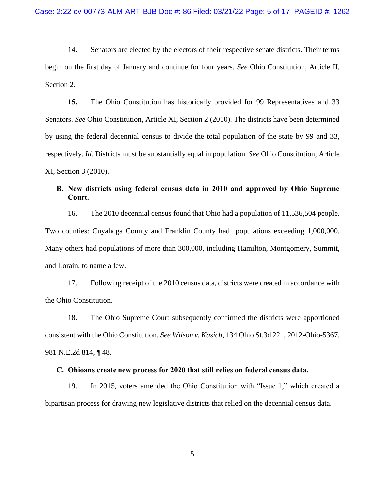14. Senators are elected by the electors of their respective senate districts. Their terms begin on the first day of January and continue for four years. *See* Ohio Constitution, Article II, Section 2.

**15.** The Ohio Constitution has historically provided for 99 Representatives and 33 Senators. *See* Ohio Constitution, Article XI, Section 2 (2010). The districts have been determined by using the federal decennial census to divide the total population of the state by 99 and 33, respectively. *Id.* Districts must be substantially equal in population. *See* Ohio Constitution, Article XI, Section 3 (2010).

# **B. New districts using federal census data in 2010 and approved by Ohio Supreme Court.**

16. The 2010 decennial census found that Ohio had a population of 11,536,504 people. Two counties: Cuyahoga County and Franklin County had populations exceeding 1,000,000. Many others had populations of more than 300,000, including Hamilton, Montgomery, Summit, and Lorain, to name a few.

17. Following receipt of the 2010 census data, districts were created in accordance with the Ohio Constitution.

18. The Ohio Supreme Court subsequently confirmed the districts were apportioned consistent with the Ohio Constitution. *See Wilson v. Kasich*, 134 Ohio St.3d 221, 2012-Ohio-5367, 981 N.E.2d 814, ¶ 48.

#### **C. Ohioans create new process for 2020 that still relies on federal census data.**

19. In 2015, voters amended the Ohio Constitution with "Issue 1," which created a bipartisan process for drawing new legislative districts that relied on the decennial census data.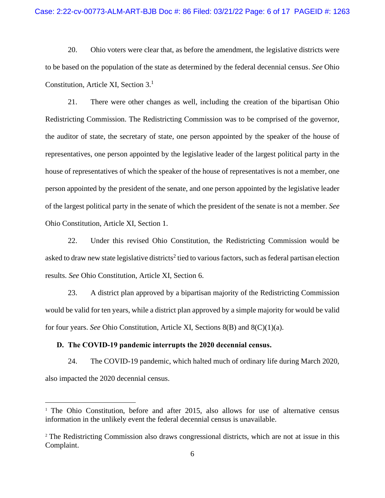20. Ohio voters were clear that, as before the amendment, the legislative districts were to be based on the population of the state as determined by the federal decennial census. *See* Ohio Constitution, Article XI, Section 3.<sup>1</sup>

21. There were other changes as well, including the creation of the bipartisan Ohio Redistricting Commission. The Redistricting Commission was to be comprised of the governor, the auditor of state, the secretary of state, one person appointed by the speaker of the house of representatives, one person appointed by the legislative leader of the largest political party in the house of representatives of which the speaker of the house of representatives is not a member, one person appointed by the president of the senate, and one person appointed by the legislative leader of the largest political party in the senate of which the president of the senate is not a member. *See*  Ohio Constitution, Article XI, Section 1.

22. Under this revised Ohio Constitution, the Redistricting Commission would be asked to draw new state legislative districts<sup>2</sup> tied to various factors, such as federal partisan election results. *See* Ohio Constitution, Article XI, Section 6.

23. A district plan approved by a bipartisan majority of the Redistricting Commission would be valid for ten years, while a district plan approved by a simple majority for would be valid for four years. *See* Ohio Constitution, Article XI, Sections 8(B) and 8(C)(1)(a).

#### **D. The COVID-19 pandemic interrupts the 2020 decennial census.**

24. The COVID-19 pandemic, which halted much of ordinary life during March 2020, also impacted the 2020 decennial census.

<sup>1</sup> The Ohio Constitution, before and after 2015, also allows for use of alternative census information in the unlikely event the federal decennial census is unavailable.

<sup>2</sup> The Redistricting Commission also draws congressional districts, which are not at issue in this Complaint.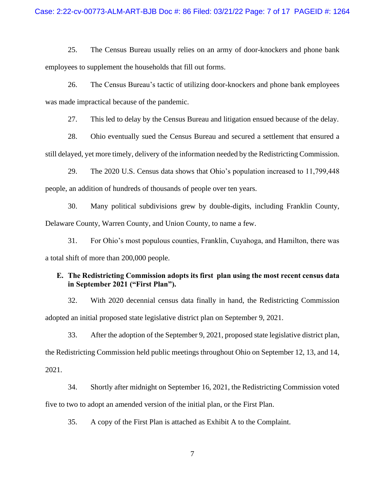25. The Census Bureau usually relies on an army of door-knockers and phone bank employees to supplement the households that fill out forms.

26. The Census Bureau's tactic of utilizing door-knockers and phone bank employees was made impractical because of the pandemic.

27. This led to delay by the Census Bureau and litigation ensued because of the delay.

28. Ohio eventually sued the Census Bureau and secured a settlement that ensured a still delayed, yet more timely, delivery of the information needed by the Redistricting Commission.

29. The 2020 U.S. Census data shows that Ohio's population increased to 11,799,448 people, an addition of hundreds of thousands of people over ten years.

30. Many political subdivisions grew by double-digits, including Franklin County, Delaware County, Warren County, and Union County, to name a few.

31. For Ohio's most populous counties, Franklin, Cuyahoga, and Hamilton, there was a total shift of more than 200,000 people.

## **E. The Redistricting Commission adopts its first plan using the most recent census data in September 2021 ("First Plan").**

32. With 2020 decennial census data finally in hand, the Redistricting Commission adopted an initial proposed state legislative district plan on September 9, 2021.

33. After the adoption of the September 9, 2021, proposed state legislative district plan, the Redistricting Commission held public meetings throughout Ohio on September 12, 13, and 14, 2021.

34. Shortly after midnight on September 16, 2021, the Redistricting Commission voted five to two to adopt an amended version of the initial plan, or the First Plan.

35. A copy of the First Plan is attached as Exhibit A to the Complaint.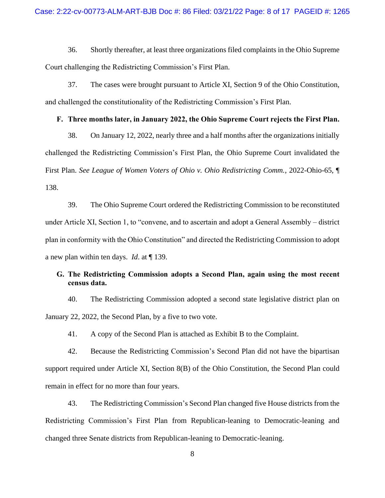36. Shortly thereafter, at least three organizations filed complaints in the Ohio Supreme Court challenging the Redistricting Commission's First Plan.

37. The cases were brought pursuant to Article XI, Section 9 of the Ohio Constitution, and challenged the constitutionality of the Redistricting Commission's First Plan.

### **F. Three months later, in January 2022, the Ohio Supreme Court rejects the First Plan.**

38. On January 12, 2022, nearly three and a half months after the organizations initially challenged the Redistricting Commission's First Plan, the Ohio Supreme Court invalidated the First Plan. *See League of Women Voters of Ohio v. Ohio Redistricting Comm.*, 2022-Ohio-65, ¶ 138.

39. The Ohio Supreme Court ordered the Redistricting Commission to be reconstituted under Article XI, Section 1, to "convene, and to ascertain and adopt a General Assembly – district plan in conformity with the Ohio Constitution" and directed the Redistricting Commission to adopt a new plan within ten days. *Id*. at ¶ 139.

# **G. The Redistricting Commission adopts a Second Plan, again using the most recent census data.**

40. The Redistricting Commission adopted a second state legislative district plan on January 22, 2022, the Second Plan, by a five to two vote.

41. A copy of the Second Plan is attached as Exhibit B to the Complaint.

42. Because the Redistricting Commission's Second Plan did not have the bipartisan support required under Article XI, Section 8(B) of the Ohio Constitution, the Second Plan could remain in effect for no more than four years.

43. The Redistricting Commission's Second Plan changed five House districts from the Redistricting Commission's First Plan from Republican-leaning to Democratic-leaning and changed three Senate districts from Republican-leaning to Democratic-leaning.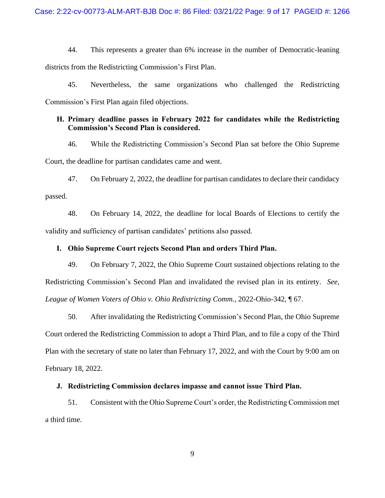44. This represents a greater than 6% increase in the number of Democratic-leaning districts from the Redistricting Commission's First Plan.

45. Nevertheless, the same organizations who challenged the Redistricting Commission's First Plan again filed objections.

## **H. Primary deadline passes in February 2022 for candidates while the Redistricting Commission's Second Plan is considered.**

46. While the Redistricting Commission's Second Plan sat before the Ohio Supreme Court, the deadline for partisan candidates came and went.

47. On February 2, 2022, the deadline for partisan candidates to declare their candidacy passed.

48. On February 14, 2022, the deadline for local Boards of Elections to certify the validity and sufficiency of partisan candidates' petitions also passed.

### **I. Ohio Supreme Court rejects Second Plan and orders Third Plan.**

49. On February 7, 2022, the Ohio Supreme Court sustained objections relating to the Redistricting Commission's Second Plan and invalidated the revised plan in its entirety. *See, League of Women Voters of Ohio v. Ohio Redistricting Comm.*, 2022-Ohio-342, ¶ 67.

50. After invalidating the Redistricting Commission's Second Plan, the Ohio Supreme Court ordered the Redistricting Commission to adopt a Third Plan, and to file a copy of the Third Plan with the secretary of state no later than February 17, 2022, and with the Court by 9:00 am on February 18, 2022.

#### **J. Redistricting Commission declares impasse and cannot issue Third Plan.**

51. Consistent with the Ohio Supreme Court's order, the Redistricting Commission met a third time.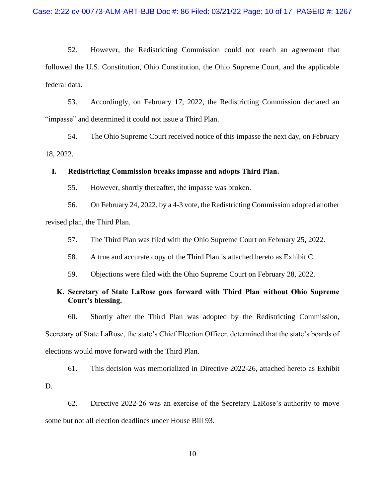52. However, the Redistricting Commission could not reach an agreement that followed the U.S. Constitution, Ohio Constitution, the Ohio Supreme Court, and the applicable federal data.

53. Accordingly, on February 17, 2022, the Redistricting Commission declared an "impasse" and determined it could not issue a Third Plan.

54. The Ohio Supreme Court received notice of this impasse the next day, on February 18, 2022.

#### **I. Redistricting Commission breaks impasse and adopts Third Plan.**

55. However, shortly thereafter, the impasse was broken.

56. On February 24, 2022, by a 4-3 vote, the Redistricting Commission adopted another revised plan, the Third Plan.

57. The Third Plan was filed with the Ohio Supreme Court on February 25, 2022.

58. A true and accurate copy of the Third Plan is attached hereto as Exhibit C.

59. Objections were filed with the Ohio Supreme Court on February 28, 2022.

## **K. Secretary of State LaRose goes forward with Third Plan without Ohio Supreme Court's blessing.**

60. Shortly after the Third Plan was adopted by the Redistricting Commission, Secretary of State LaRose, the state's Chief Election Officer, determined that the state's boards of elections would move forward with the Third Plan.

61. This decision was memorialized in Directive 2022-26, attached hereto as Exhibit D.

62. Directive 2022-26 was an exercise of the Secretary LaRose's authority to move some but not all election deadlines under House Bill 93.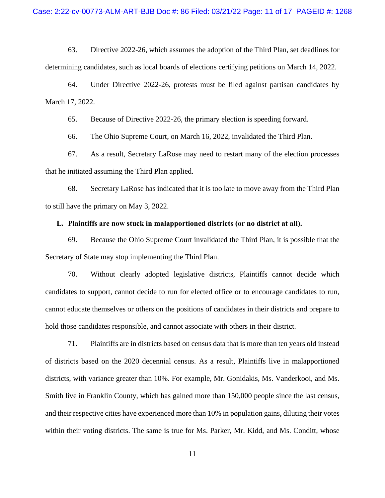63. Directive 2022-26, which assumes the adoption of the Third Plan, set deadlines for determining candidates, such as local boards of elections certifying petitions on March 14, 2022.

64. Under Directive 2022-26, protests must be filed against partisan candidates by March 17, 2022.

65. Because of Directive 2022-26, the primary election is speeding forward.

66. The Ohio Supreme Court, on March 16, 2022, invalidated the Third Plan.

67. As a result, Secretary LaRose may need to restart many of the election processes that he initiated assuming the Third Plan applied.

68. Secretary LaRose has indicated that it is too late to move away from the Third Plan to still have the primary on May 3, 2022.

### **L. Plaintiffs are now stuck in malapportioned districts (or no district at all).**

69. Because the Ohio Supreme Court invalidated the Third Plan, it is possible that the Secretary of State may stop implementing the Third Plan.

70. Without clearly adopted legislative districts, Plaintiffs cannot decide which candidates to support, cannot decide to run for elected office or to encourage candidates to run, cannot educate themselves or others on the positions of candidates in their districts and prepare to hold those candidates responsible, and cannot associate with others in their district.

71. Plaintiffs are in districts based on census data that is more than ten years old instead of districts based on the 2020 decennial census. As a result, Plaintiffs live in malapportioned districts, with variance greater than 10%. For example, Mr. Gonidakis, Ms. Vanderkooi, and Ms. Smith live in Franklin County, which has gained more than 150,000 people since the last census, and their respective cities have experienced more than 10% in population gains, diluting their votes within their voting districts. The same is true for Ms. Parker, Mr. Kidd, and Ms. Conditt, whose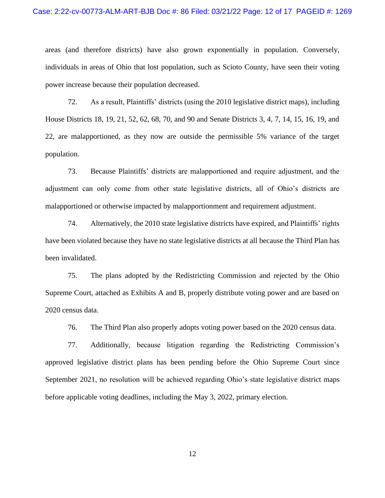areas (and therefore districts) have also grown exponentially in population. Conversely, individuals in areas of Ohio that lost population, such as Scioto County, have seen their voting power increase because their population decreased.

72. As a result, Plaintiffs' districts (using the 2010 legislative district maps), including House Districts 18, 19, 21, 52, 62, 68, 70, and 90 and Senate Districts 3, 4, 7, 14, 15, 16, 19, and 22, are malapportioned, as they now are outside the permissible 5% variance of the target population.

73. Because Plaintiffs' districts are malapportioned and require adjustment, and the adjustment can only come from other state legislative districts, all of Ohio's districts are malapportioned or otherwise impacted by malapportionment and requirement adjustment.

74. Alternatively, the 2010 state legislative districts have expired, and Plaintiffs' rights have been violated because they have no state legislative districts at all because the Third Plan has been invalidated.

75. The plans adopted by the Redistricting Commission and rejected by the Ohio Supreme Court, attached as Exhibits A and B, properly distribute voting power and are based on 2020 census data.

76. The Third Plan also properly adopts voting power based on the 2020 census data.

77. Additionally, because litigation regarding the Redistricting Commission's approved legislative district plans has been pending before the Ohio Supreme Court since September 2021, no resolution will be achieved regarding Ohio's state legislative district maps before applicable voting deadlines, including the May 3, 2022, primary election.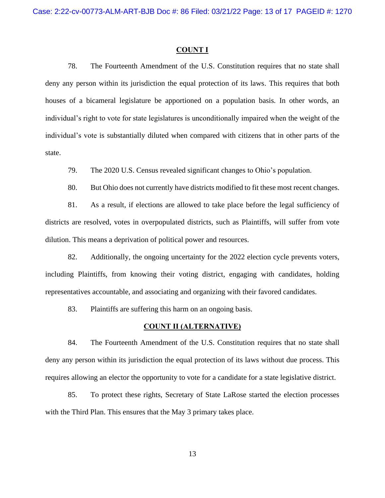#### **COUNT I**

78. The Fourteenth Amendment of the U.S. Constitution requires that no state shall deny any person within its jurisdiction the equal protection of its laws. This requires that both houses of a bicameral legislature be apportioned on a population basis. In other words, an individual's right to vote for state legislatures is unconditionally impaired when the weight of the individual's vote is substantially diluted when compared with citizens that in other parts of the state.

79. The 2020 U.S. Census revealed significant changes to Ohio's population.

80. But Ohio does not currently have districts modified to fit these most recent changes.

81. As a result, if elections are allowed to take place before the legal sufficiency of districts are resolved, votes in overpopulated districts, such as Plaintiffs, will suffer from vote dilution. This means a deprivation of political power and resources.

82. Additionally, the ongoing uncertainty for the 2022 election cycle prevents voters, including Plaintiffs, from knowing their voting district, engaging with candidates, holding representatives accountable, and associating and organizing with their favored candidates.

83. Plaintiffs are suffering this harm on an ongoing basis.

### **COUNT II (ALTERNATIVE)**

84. The Fourteenth Amendment of the U.S. Constitution requires that no state shall deny any person within its jurisdiction the equal protection of its laws without due process. This requires allowing an elector the opportunity to vote for a candidate for a state legislative district.

85. To protect these rights, Secretary of State LaRose started the election processes with the Third Plan. This ensures that the May 3 primary takes place.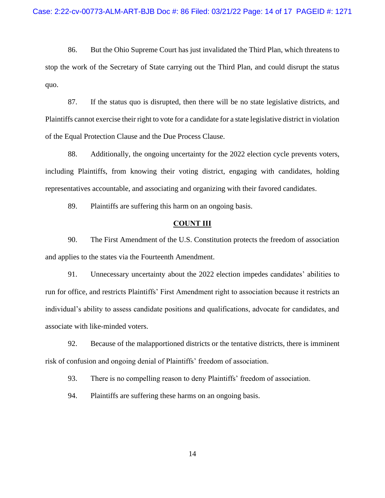86. But the Ohio Supreme Court has just invalidated the Third Plan, which threatens to stop the work of the Secretary of State carrying out the Third Plan, and could disrupt the status quo.

87. If the status quo is disrupted, then there will be no state legislative districts, and Plaintiffs cannot exercise their right to vote for a candidate for a state legislative district in violation of the Equal Protection Clause and the Due Process Clause.

88. Additionally, the ongoing uncertainty for the 2022 election cycle prevents voters, including Plaintiffs, from knowing their voting district, engaging with candidates, holding representatives accountable, and associating and organizing with their favored candidates.

89. Plaintiffs are suffering this harm on an ongoing basis.

### **COUNT III**

90. The First Amendment of the U.S. Constitution protects the freedom of association and applies to the states via the Fourteenth Amendment.

91. Unnecessary uncertainty about the 2022 election impedes candidates' abilities to run for office, and restricts Plaintiffs' First Amendment right to association because it restricts an individual's ability to assess candidate positions and qualifications, advocate for candidates, and associate with like-minded voters.

92. Because of the malapportioned districts or the tentative districts, there is imminent risk of confusion and ongoing denial of Plaintiffs' freedom of association.

93. There is no compelling reason to deny Plaintiffs' freedom of association.

94. Plaintiffs are suffering these harms on an ongoing basis.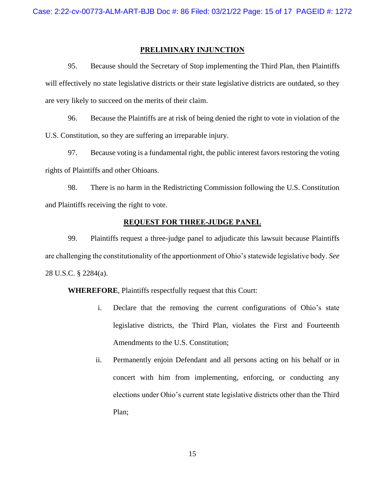### **PRELIMINARY INJUNCTION**

95. Because should the Secretary of Stop implementing the Third Plan, then Plaintiffs will effectively no state legislative districts or their state legislative districts are outdated, so they are very likely to succeed on the merits of their claim.

96. Because the Plaintiffs are at risk of being denied the right to vote in violation of the U.S. Constitution, so they are suffering an irreparable injury.

97. Because voting is a fundamental right, the public interest favors restoring the voting rights of Plaintiffs and other Ohioans.

98. There is no harm in the Redistricting Commission following the U.S. Constitution and Plaintiffs receiving the right to vote.

# **REQUEST FOR THREE-JUDGE PANEL**

99. Plaintiffs request a three-judge panel to adjudicate this lawsuit because Plaintiffs are challenging the constitutionality of the apportionment of Ohio's statewide legislative body. *See* 28 U.S.C. § 2284(a).

**WHEREFORE**, Plaintiffs respectfully request that this Court:

- i. Declare that the removing the current configurations of Ohio's state legislative districts, the Third Plan, violates the First and Fourteenth Amendments to the U.S. Constitution;
- ii. Permanently enjoin Defendant and all persons acting on his behalf or in concert with him from implementing, enforcing, or conducting any elections under Ohio's current state legislative districts other than the Third Plan;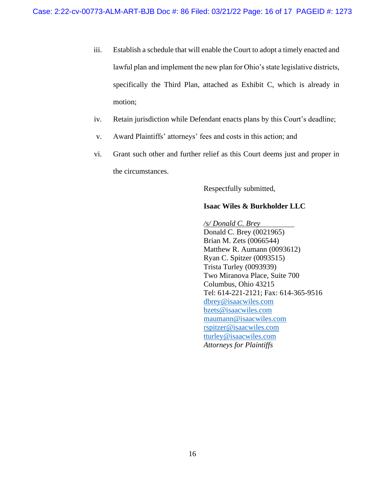- iii. Establish a schedule that will enable the Court to adopt a timely enacted and lawful plan and implement the new plan for Ohio's state legislative districts, specifically the Third Plan, attached as Exhibit C, which is already in motion;
- iv. Retain jurisdiction while Defendant enacts plans by this Court's deadline;
- v. Award Plaintiffs' attorneys' fees and costs in this action; and
- vi. Grant such other and further relief as this Court deems just and proper in the circumstances.

Respectfully submitted,

### **Isaac Wiles & Burkholder LLC**

*/s/ Donald C. Brey* Donald C. Brey (0021965) Brian M. Zets (0066544) Matthew R. Aumann (0093612) Ryan C. Spitzer (0093515) Trista Turley (0093939) Two Miranova Place, Suite 700 Columbus, Ohio 43215 Tel: 614-221-2121; Fax: 614-365-9516 [dbrey@isaacwiles.com](mailto:dbrey@isaacwiles.com) [bzets@isaacwiles.com](mailto:bzets@isaacwiles.com) [maumann@isaacwiles.com](mailto:maumann@isaacwiles.com) [rspitzer@isaacwiles.com](mailto:rspitzer@isaacwiles.com) tturley@isaacwiles.com *Attorneys for Plaintiffs*